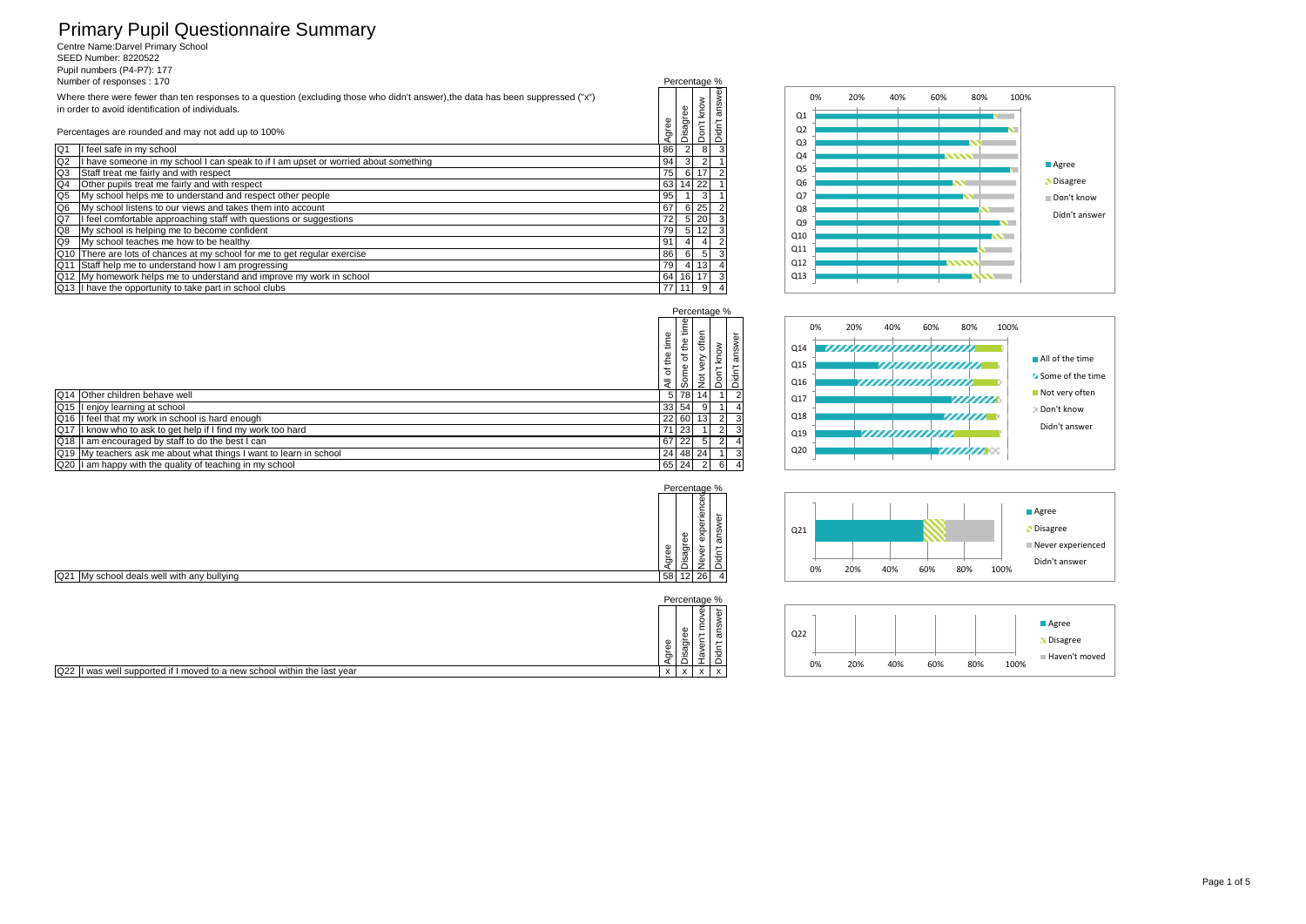# Primary Pupil Questionnaire Summary Centre Name:Darvel Primary School SEED Number: 8220522

Pupil numbers (P4-P7): 177 Number of responses : 170

|                | Where there were fewer than ten responses to a question (excluding those who didn't answer), the data has been suppressed ("x")<br>in order to avoid identification of individuals.<br>Percentages are rounded and may not add up to 100% |    |                 |                 |  |  |
|----------------|-------------------------------------------------------------------------------------------------------------------------------------------------------------------------------------------------------------------------------------------|----|-----------------|-----------------|--|--|
| Q <sub>1</sub> | I feel safe in my school<br>86                                                                                                                                                                                                            |    |                 |                 |  |  |
| Q2             | I have someone in my school I can speak to if I am upset or worried about something                                                                                                                                                       | 94 | 3               |                 |  |  |
| $rac{Q3}{Q4}$  | Staff treat me fairly and with respect                                                                                                                                                                                                    | 75 | 6               |                 |  |  |
|                | Other pupils treat me fairly and with respect                                                                                                                                                                                             | 63 | 14 <sup>1</sup> | 22              |  |  |
| $rac{Q5}{Q6}$  | My school helps me to understand and respect other people                                                                                                                                                                                 | 95 |                 |                 |  |  |
|                | My school listens to our views and takes them into account<br>67                                                                                                                                                                          |    |                 |                 |  |  |
| Q7             | I feel comfortable approaching staff with questions or suggestions                                                                                                                                                                        | 72 | 5               | 20              |  |  |
| Q8             | My school is helping me to become confident                                                                                                                                                                                               | 79 | 5               | 12 <sub>1</sub> |  |  |
| Q <sub>9</sub> | My school teaches me how to be healthy                                                                                                                                                                                                    | 91 | 4               |                 |  |  |
| Q10            | There are lots of chances at my school for me to get regular exercise                                                                                                                                                                     | 86 | 6               | 51              |  |  |
| Q11            | Staff help me to understand how I am progressing<br>79                                                                                                                                                                                    |    |                 |                 |  |  |
|                | Q12 My homework helps me to understand and improve my work in school<br>64                                                                                                                                                                |    |                 |                 |  |  |
|                | Q13 I have the opportunity to take part in school clubs<br>77                                                                                                                                                                             |    |                 |                 |  |  |



Percentage %

|                                                                    |                         |                       | Percentage %   |          |                         |
|--------------------------------------------------------------------|-------------------------|-----------------------|----------------|----------|-------------------------|
|                                                                    | Φ<br>Ē<br>the<br>৳<br>₹ | Φ<br>-<br>≐<br>ō<br>S | 5<br>븅<br>ż    | $\Omega$ | answer<br>$\frac{5}{2}$ |
| Q14 Other children behave well                                     | 51                      | 78 I                  | 14             |          |                         |
| Q15 I enjoy learning at school                                     | 33 <sup>1</sup>         | -54 l                 |                |          |                         |
| Q16 I feel that my work in school is hard enough                   | 22                      | <b>60</b>             | 13             |          |                         |
| Q17 I know who to ask to get help if I find my work too hard       | 71                      | 23                    |                |          |                         |
| Q18 I am encouraged by staff to do the best I can                  | 67                      | 22                    | 5.             |          |                         |
| Q19 My teachers ask me about what things I want to learn in school | 24                      | 48 24                 |                |          |                         |
| Q20 I am happy with the quality of teaching in my school           | 65 24                   |                       | $\overline{2}$ | 6 I      |                         |







|                                            | Percentage %                                                                                                                    |  |
|--------------------------------------------|---------------------------------------------------------------------------------------------------------------------------------|--|
|                                            | Φ<br>c<br>・은<br>Φ<br>Ф<br>ě<br><b>in</b><br>Φ<br>∽<br>Φ<br>isagree<br>σ<br>gree<br>∽<br>$\overline{a}$<br>Φ<br>∼<br>고<br>Φ<br>Δ |  |
| Q21 My school deals well with any bullying | 58 12 26<br>$\overline{4}$                                                                                                      |  |
|                                            | Percentage %                                                                                                                    |  |

|                                                                             | Φ<br>œ<br>৯ | м.<br>-<br>ō           | 1.919911099970<br>Ф<br>ີ<br>ሰነ<br>σ | Φ<br>Ö,<br>σ<br>ىسە<br>ັ |  |
|-----------------------------------------------------------------------------|-------------|------------------------|-------------------------------------|--------------------------|--|
| Q22<br>I was well supported if I moved to a new school within the last year | x           | $\lambda$<br>$\lambda$ |                                     | $\overline{\phantom{a}}$ |  |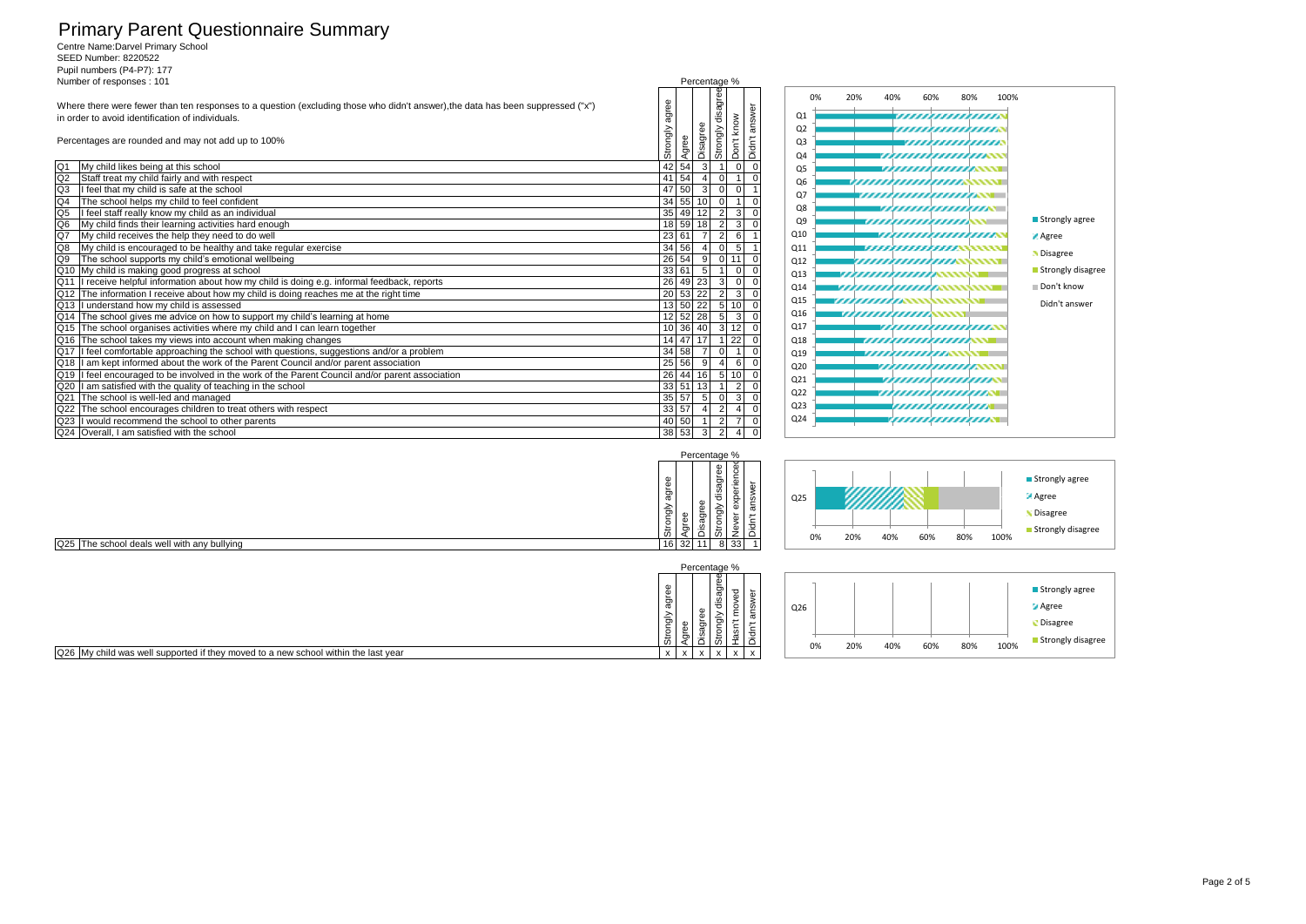# Primary Parent Questionnaire Summary Centre Name:Darvel Primary School SEED Number: 8220522

Pupil numbers (P4-P7): 177 Number of responses : 101

| Number of responses: 101                                                                                                                                                            | Percentage %                                                      |                                                                                                  |
|-------------------------------------------------------------------------------------------------------------------------------------------------------------------------------------|-------------------------------------------------------------------|--------------------------------------------------------------------------------------------------|
| Where there were fewer than ten responses to a question (excluding those who didn't answer), the data has been suppressed ("x")<br>in order to avoid identification of individuals. | disagree<br>agree<br>know<br>ans<br>e,                            | 0%<br>100%<br>20%<br>40%<br>60%<br>80%<br>wwwwwww<br>01<br>Q <sub>2</sub><br>,,,,,,,,,,,,,,,,,,, |
| Percentages are rounded and may not add up to 100%                                                                                                                                  | Strongly<br>Strongly<br>Agree<br>Don't<br>ö<br>۱ō                 | Q3<br>,,,,,,,,,,,,,,,,,<br>Q4<br>,,,,,,,,,,,,,,,,,,,,,,                                          |
| My child likes being at this school                                                                                                                                                 | 42 54<br>3 <sup>1</sup>                                           | Q5<br>www.www                                                                                    |
| Staff treat my child fairly and with respect                                                                                                                                        | 41 54<br>$\Omega$<br>$\overline{4}$                               | Q6<br>,,,,,,,,,,,,,,,,,,,,,,,,,,,,,                                                              |
| I feel that my child is safe at the school<br>Q3                                                                                                                                    | 47 50 3<br>$\overline{0}$                                         | $Q$ 7<br>,,,,,,,,,,,,,,,,,,,,,,,,,,                                                              |
| The school helps my child to feel confident                                                                                                                                         | $34$ 55 10<br>$\Omega$<br>$\Omega$                                | <i>UHUHUHUHU</i> W                                                                               |
| I feel staff really know my child as an individual<br>Q5                                                                                                                            | 35 49 12                                                          | Q8<br>■ Strongly agree                                                                           |
| My child finds their learning activities hard enough                                                                                                                                | 18 59 18<br>$\overline{2}$<br>0                                   | ,,,,,,,,,,,,,,,,,,,,,,,,<br>Q9                                                                   |
| My child receives the help they need to do well                                                                                                                                     | 23 61 7<br>$\overline{2}$<br>$6 \mid$                             | Q10<br>Agree                                                                                     |
| My child is encouraged to be healthy and take regular exercise                                                                                                                      | 34 56<br>$\overline{a}$                                           | Q11<br><i><b>UUUUUUUUUNNNNN</b></i><br>Disagree                                                  |
| The school supports my child's emotional wellbeing                                                                                                                                  | $26 \mid 54 \mid 9$<br>-ol<br>11<br>$\overline{0}$                | Q12<br><i>UUUUUUUUU</i> WWWT                                                                     |
| Q10 My child is making good progress at school                                                                                                                                      | 33 61 5<br>0                                                      | Strongly disagree<br>Q13<br><i><b>UUUUUUUUUNNNN</b></i>                                          |
| I receive helpful information about how my child is doing e.g. informal feedback, reports                                                                                           | $26$ 49 $23$<br>-3                                                | Don't know<br>Q14<br><i><b>UUUUUUUUUUNNNNNN</b></i>                                              |
| Q12 The information I receive about how my child is doing reaches me at the right time                                                                                              | $20 \ 53 \ 22$<br>$\overline{2}$<br>$\mathbf 0$                   | Q <sub>15</sub>                                                                                  |
| Q13 I understand how my child is assessed                                                                                                                                           | $13$ 50 22<br>5 10                                                | Didn't answer                                                                                    |
| Q14 The school gives me advice on how to support my child's learning at home                                                                                                        | 12 52 28<br>-5                                                    | Q16<br><i><b>WWW.WWW.WWW</b></i>                                                                 |
| Q15 The school organises activities where my child and I can learn together                                                                                                         | $10 \ 36 \ 40$<br>$\overline{\mathbf{3}}$<br>12<br>$\overline{0}$ | Q17<br><i>UNIMARIANIA</i> N                                                                      |
| Q16 The school takes my views into account when making changes                                                                                                                      | 14 47 17<br>22<br>$\overline{1}$<br>0                             | Q18<br>,,,,,,,,,,,,,,,,,,,,,,,,,,,,,                                                             |
| $Q17$  I feel comfortable approaching the school with questions, suggestions and/or a problem                                                                                       | 34 58 7<br>$\Omega$<br>0                                          | Q19<br>77777777777777XXXXXIII                                                                    |
| Q18  I am kept informed about the work of the Parent Council and/or parent association                                                                                              | 25 56 9<br>$\mathbf 0$<br>$\overline{4}$                          | Q20<br><i><u>UMMUMMANNI</u></i>                                                                  |
| Q19   I feel encouraged to be involved in the work of the Parent Council and/or parent association                                                                                  | $26$ 44 16<br>-51<br>10 <sup>1</sup>                              | Q21<br>,,,,,,,,,,,,,,,,,,,,,,                                                                    |
| Q20  I am satisfied with the quality of teaching in the school                                                                                                                      | $33 \ 51 \ 13$<br>$\pmb{0}$                                       |                                                                                                  |
| Q21 The school is well-led and managed                                                                                                                                              | $35 \ 57 \ 5$<br>$\overline{0}$<br>$\mathbf 0$                    | Q22<br><i>VIIIIIIIIIIIIII</i> IAN                                                                |
| Q22 The school encourages children to treat others with respect                                                                                                                     | 33   57<br>$\mathbf 0$                                            | Q <sub>23</sub><br>,,,,,,,,,,,,,,,,,                                                             |
| I would recommend the school to other parents<br>Q23                                                                                                                                | 40 50<br>$\overline{2}$<br>$\mathbf 0$                            | Q24<br><i>,,,,,,,,,,,,,,,</i> ,,                                                                 |
| Q24 Overall. I am satisfied with the school                                                                                                                                         | 38 53 3<br>$\overline{2}$                                         |                                                                                                  |



Q25 The school deals well with any bullying

|                   |            |              | Percentage %               |                     |                  |           |     |     |     |
|-------------------|------------|--------------|----------------------------|---------------------|------------------|-----------|-----|-----|-----|
| agree<br>Strongly | gree       | isagree      | Ф<br>disag<br>rongly<br>ċΩ | o<br>Ō<br>òΣ<br>asn | answer<br>Didn't | Q26<br>0% | 20% | 40% | 60% |
| $\check{}$        | $\check{}$ | $\checkmark$ | $\checkmark$               | $\checkmark$        | $\check{}$       |           |     |     |     |

Percentage %

|     |     |     |     |     |      | ■ Strongly agree    |
|-----|-----|-----|-----|-----|------|---------------------|
| Q26 |     |     |     |     |      | Agree               |
|     |     |     |     |     |      | <b>Disagree</b>     |
| 0%  | 20% | 40% | 60% | 80% | 100% | ■ Strongly disagree |

 $Q26$  My child was well supported if they moved to a new school within the last year  $\frac{3x}{x}$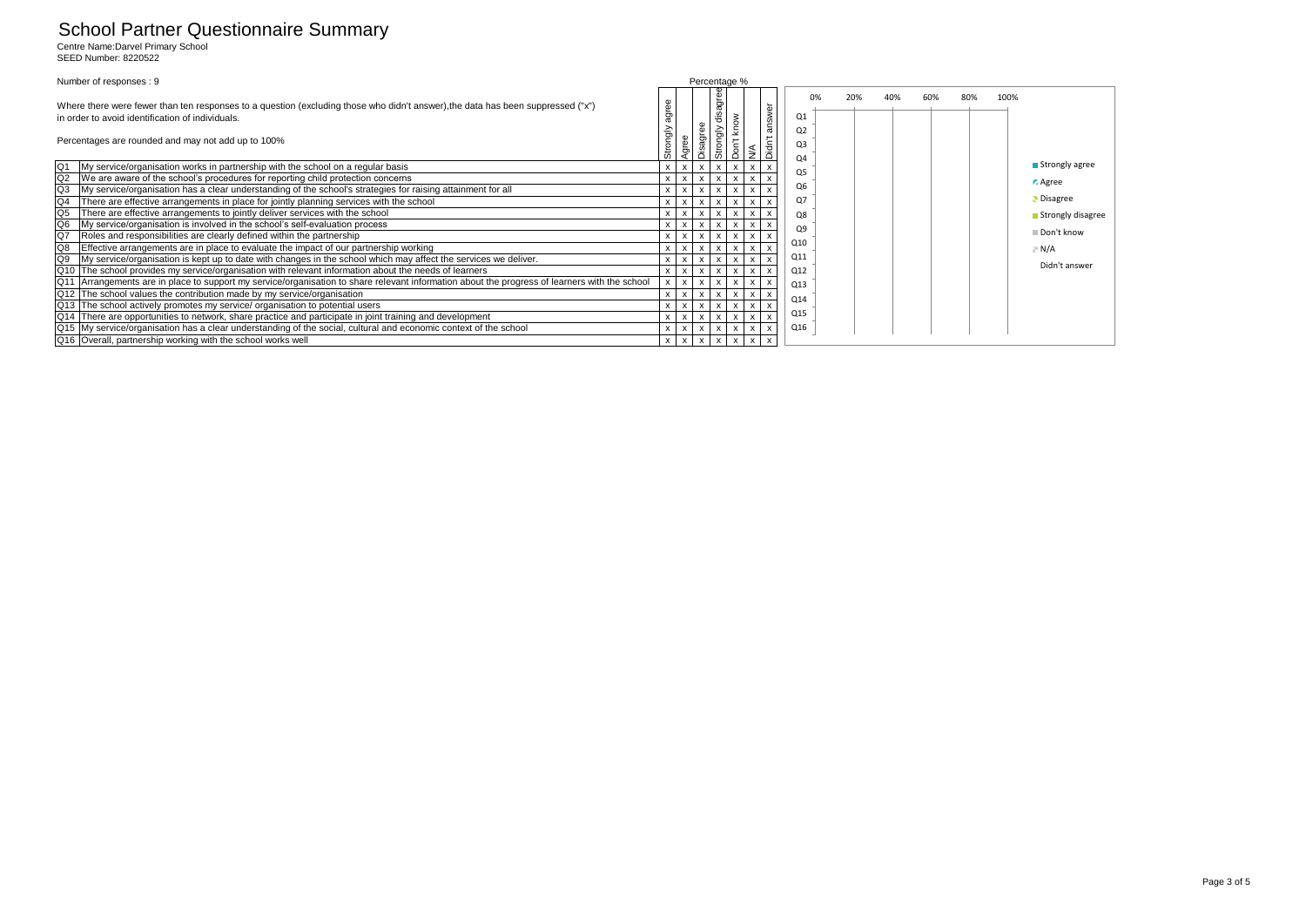# School Partner Questionnaire Summary Centre Name:Darvel Primary School SEED Number: 8220522

| Number of responses : 9                                                                                                                                                                                                                   | Percentage %                                                                                                                          |
|-------------------------------------------------------------------------------------------------------------------------------------------------------------------------------------------------------------------------------------------|---------------------------------------------------------------------------------------------------------------------------------------|
| Where there were fewer than ten responses to a question (excluding those who didn't answer), the data has been suppressed ("x")<br>in order to avoid identification of individuals.<br>Percentages are rounded and may not add up to 100% | 20%<br>0%<br>100%<br>80%<br>answer<br>ᅙ<br>€<br>O <sub>1</sub><br>Noc<br>즔<br>Q <sub>2</sub><br>ă<br>Q <sub>3</sub><br>O <sub>4</sub> |
| My service/organisation works in partnership with the school on a regular basis                                                                                                                                                           | ■ Strongly agree                                                                                                                      |
| We are aware of the school's procedures for reporting child protection concerns                                                                                                                                                           | 05<br><b>Agree</b>                                                                                                                    |
| My service/organisation has a clear understanding of the school's strategies for raising attainment for all                                                                                                                               | 06                                                                                                                                    |
| There are effective arrangements in place for jointly planning services with the school                                                                                                                                                   | Disagree<br>O <sub>7</sub><br>$\mathsf{x}$<br>$\boldsymbol{\mathsf{x}}$                                                               |
| There are effective arrangements to jointly deliver services with the school                                                                                                                                                              | Strongly disagree<br>O8                                                                                                               |
| My service/organisation is involved in the school's self-evaluation process                                                                                                                                                               | O <sub>9</sub>                                                                                                                        |
| Roles and responsibilities are clearly defined within the partnership                                                                                                                                                                     | Don't know<br>$\mathsf{x}$<br>$\times$<br>$\times$<br>$\mathsf{x}$<br>$\boldsymbol{\mathsf{x}}$                                       |
| Effective arrangements are in place to evaluate the impact of our partnership working                                                                                                                                                     | Q <sub>10</sub><br>N/A                                                                                                                |
| My service/organisation is kept up to date with changes in the school which may affect the services we deliver.<br>Q9                                                                                                                     | Q11<br>$\mathsf{x}$<br>$\times$<br>$\boldsymbol{\mathsf{x}}$<br>Didn't answer                                                         |
| Q10 The school provides my service/organisation with relevant information about the needs of learners                                                                                                                                     | Q <sub>12</sub><br>$\times$                                                                                                           |
| Q11 Arrangements are in place to support my service/organisation to share relevant information about the progress of learners with the school                                                                                             | $\boldsymbol{\mathsf{x}}$<br>x<br>Q <sub>13</sub>                                                                                     |
| Q12 The school values the contribution made by my service/organisation                                                                                                                                                                    | $\times$<br>$\mathsf{x}$<br>X<br>Q14                                                                                                  |
| Q13 The school actively promotes my service/ organisation to potential users                                                                                                                                                              | $\times$<br>$\mathsf{x}$<br>$\boldsymbol{\mathsf{x}}$                                                                                 |
| Q14 There are opportunities to network, share practice and participate in joint training and development                                                                                                                                  | Q <sub>15</sub>                                                                                                                       |
| Q15 My service/organisation has a clear understanding of the social, cultural and economic context of the school                                                                                                                          | Q16                                                                                                                                   |
| Q16 Overall, partnership working with the school works well                                                                                                                                                                               | $\mathbf{x}$<br>$\boldsymbol{\mathsf{x}}$<br>x<br>x<br>x                                                                              |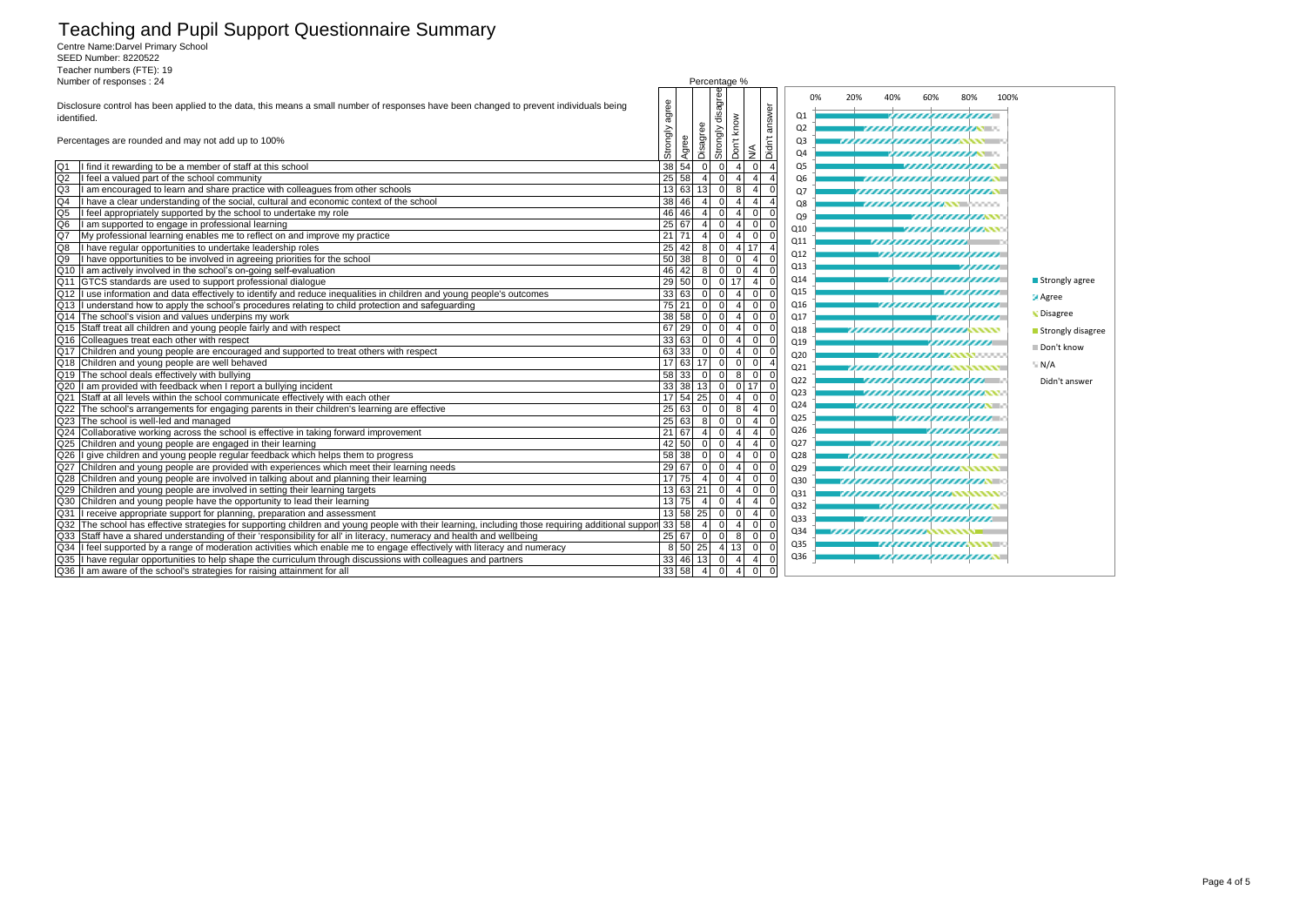# Teaching and Pupil Support Questionnaire Summary Centre Name:Darvel Primary School SEED Number: 8220522

Teacher numbers (FTE): 19 Number of responses : 24

| Number of responses: 24                                                                                                                                     | Percentage %                                                                                                            |
|-------------------------------------------------------------------------------------------------------------------------------------------------------------|-------------------------------------------------------------------------------------------------------------------------|
|                                                                                                                                                             | 80%<br>100%<br>20%<br>40%<br>60%<br>0%                                                                                  |
| Disclosure control has been applied to the data, this means a small number of responses have been changed to prevent individuals being                      | disagre<br>agree                                                                                                        |
| identified.                                                                                                                                                 | answer<br>O <sub>1</sub><br>,,,,,,,,,,,,,,,,,                                                                           |
|                                                                                                                                                             | Q <sub>2</sub><br>,,,,,,,,,,,,,,,,,,,,,,,,,                                                                             |
| Percentages are rounded and may not add up to 100%                                                                                                          | Q <sub>3</sub><br>,,,,,,,,,,,,,,,,,,,,,,,,,,,,,,                                                                        |
|                                                                                                                                                             | Don't know<br>Strongly<br>Strongly<br>Didn't a<br>Agree<br><b>Disa</b><br>$\frac{4}{2}$<br>Q4<br>,,,,,,,,,,,,,,,,,,,    |
| I find it rewarding to be a member of staff at this school                                                                                                  | 38 54<br>Q5<br>$\Omega$<br><i>,,,,,,,,,,,,,,</i> ,,,,,,                                                                 |
| Q <sub>2</sub><br>I feel a valued part of the school community                                                                                              | 25 58<br>$\overline{4}$<br>4<br>Q <sub>6</sub><br>,,,,,,,,,,,,,,,,,,,,,,,,                                              |
| Q <sub>3</sub><br>I am encouraged to learn and share practice with colleagues from other schools                                                            | 13 63 13 <br>$\mathbf 0$<br>$\Omega$<br>8<br>$\overline{4}$<br>Q7<br>,,,,,,,,,,,,,,,,,,,,,,,,                           |
| Q <sub>4</sub><br>I have a clear understanding of the social, cultural and economic context of the school                                                   | $\frac{1}{38}$ 46<br>$\Omega$<br>$\overline{4}$<br>$\overline{4}$<br>$\overline{4}$<br>$\vert$                          |
| Q <sub>5</sub><br>I feel appropriately supported by the school to undertake my role                                                                         | Q8<br><i>,,,,,,,,,,,,</i> ,,,,,,,,,,,,,,,,<br>46 46<br>4<br>$\Omega$<br>4 <sup>1</sup><br>$\overline{0}$                |
| GO<br>I am supported to engage in professional learning                                                                                                     | Q9<br><i><b><i>HIMMINIA</i>N</b></i><br>$25 \overline{67}$<br>4 <sup>1</sup><br>ol<br>$\overline{0}$<br>$\overline{4}$  |
| My professional learning enables me to reflect on and improve my practice<br>Q7                                                                             | Q10<br><i>,,,,,,,,,,,,,</i> ,,,,,<br>$21$ 71<br>$\overline{4}$<br>ol<br>$\overline{0}$<br>4 <sup>1</sup>                |
| Q <sub>8</sub><br>I have regular opportunities to undertake leadership roles                                                                                | Q11<br>,,,,,,,,,,,,,,,,<br>$25$ 42<br>$\overline{0}$<br>4 17<br>8                                                       |
| I have opportunities to be involved in agreeing priorities for the school<br>Q9                                                                             | Q12<br>,,,,,,,,,,,,,,,,,,,,,<br>$50$ 38<br>8<br>ol<br>$\overline{4}$<br>$\Omega$<br>- 0                                 |
| I am actively involved in the school's on-going self-evaluation<br>Q10                                                                                      | Q13<br>$46$ 42 8<br>ol<br>$\Omega$<br>$\overline{4}$<br>$\mathcal{C}$                                                   |
| Q11 GTCS standards are used to support professional dialogue                                                                                                | Q14<br>,,,,,,,,,,,,,,,,,,<br>■ Strongly agree<br>$29 \overline{50}$<br>0<br>-ol<br>$\overline{4}$<br>17<br>- 0          |
| I use information and data effectively to identify and reduce inequalities in children and young people's outcomes<br>Q12                                   | Q15<br>33 63 <br>$\circ$<br>- ol<br>ol<br>,,,,,,,,,,<br>$\overline{4}$                                                  |
| I understand how to apply the school's procedures relating to child protection and safequarding<br>Q13                                                      | Agree<br>75 21<br>Q16<br>-ol<br>$\Omega$<br>$\Omega$<br>$\overline{4}$<br>,,,,,,,,,,,,,,,,,,,,                          |
| Q14 The school's vision and values underpins my work                                                                                                        | <b>N</b> Disagree<br>38   58<br>ol<br> 0 <br>$\overline{0}$<br>4 <sup>1</sup><br>Q17<br>,,,,,,,,,,,                     |
| Q15 Staff treat all children and young people fairly and with respect                                                                                       | 67 29<br>ol<br> 0 <br>$\overline{0}$<br>$\overline{4}$<br>Q18<br><i>HHHHHHHHHA</i> NN                                   |
| Q16 Colleagues treat each other with respect                                                                                                                | Strongly disagree<br>33 63 <br>$\overline{0}$<br>$\circ$<br>4 <sup>1</sup><br>$\overline{0}$<br>Q19                     |
| Q17 Children and young people are encouraged and supported to treat others with respect                                                                     | ,,,,,,,,,,<br>Don't know<br>63 33<br>ol<br>$\overline{0}$<br>-ol<br>$\overline{4}$                                      |
| Q18 Children and young people are well behaved                                                                                                              | Q <sub>20</sub><br><i><b>UMMUMANN</b></i><br>17 63 17 <br>ol<br>$\overline{0}$<br>$\Omega$<br>$\overline{4}$<br>N/A     |
| Q19 The school deals effectively with bullying                                                                                                              | Q21<br>,,,,,,,,,,,,,,,,,,,,,,,,,,,,,<br>58 33<br>$\Omega$<br>- ol<br>8<br>$\Omega$                                      |
| Q20<br>I am provided with feedback when I report a bullying incident                                                                                        | Q <sub>22</sub><br>,,,,,,,,,,,,,,,,,,,,,,,,<br>Didn't answer<br>33 38 13<br>$\mathbf 0$<br>0117                         |
| Staff at all levels within the school communicate effectively with each other<br>Q21                                                                        | Q <sub>23</sub><br><i><u>UHUHUHUHUMN</u></i><br>17 54 25<br>$\Omega$<br>$\Omega$                                        |
| Q22 The school's arrangements for engaging parents in their children's learning are effective                                                               | Q24<br>,,,,,,,,,,,,,,,,,,,,,,,,,<br>25 63<br>$\mathbf 0$                                                                |
| Q23 The school is well-led and managed                                                                                                                      | Q <sub>25</sub><br>25 63 <br>,,,,,,,,,,,,,,,,,,,,,,,,,<br>-81<br>$\Omega$<br>$\bigcap$<br>$\vert$                       |
| Q24<br>Collaborative working across the school is effective in taking forward improvement                                                                   | Q26<br>21 67<br>$\Omega$<br>$\overline{4}$<br>4                                                                         |
| Children and young people are engaged in their learning<br>Q <sub>25</sub>                                                                                  | Q27<br>42 50<br>$\mathbf 0$<br>,,,,,,,,,,,,,,,,,,,,,,<br>$\Omega$<br>$\Delta$                                           |
| I give children and young people regular feedback which helps them to progress<br>Q26                                                                       | 58 38<br>$\Omega$<br>$\mathbf 0$<br>Q <sub>28</sub><br>$\Omega$<br>,,,,,,,,,,,,,,,,,,,,,,,                              |
| Q27 Children and young people are provided with experiences which meet their learning needs                                                                 | $29$ 67<br>$\overline{0}$<br>$\mathbf 0$<br>$\overline{4}$<br>$\Omega$<br>Q <sub>29</sub><br><i><b>WINDOWINDOWN</b></i> |
| Q28 Children and young people are involved in talking about and planning their learning                                                                     | $17$ 75 4<br>$\overline{0}$<br>ol<br>4 <sup>1</sup><br>Q30<br><i><u>UNIONINIUMINA – </u></i>                            |
| Q29 Children and young people are involved in setting their learning targets                                                                                | 13 63 21<br> 0 <br> 0 <br>4 <sup>1</sup><br>Q31<br><i><u>UUUUUUUUUUUNNNNN</u></i>                                       |
| Q30 Children and young people have the opportunity to lead their learning                                                                                   | 13 75 4<br>ol<br>$\overline{4}$<br>4 <sup>1</sup><br>$\overline{0}$<br>Q <sub>32</sub>                                  |
| I receive appropriate support for planning, preparation and assessment<br>Q31                                                                               | <i>,,,,,,,,,,,,,,,,,</i> ,,,,<br>$13$ 58 25<br>$\Omega$<br>$\Omega$<br>$\overline{4}$                                   |
| The school has effective strategies for supporting children and young people with their learning, including those requiring additional support 33 58<br>Q32 | Q <sub>33</sub><br>,,,,,,,,,,,,,,,,,,,,<br>$\sim$ 4<br> 0 <br>4 <sup>1</sup><br> 0 <br>$\Omega$                         |
| Staff have a shared understanding of their 'responsibility for all' in literacy, numeracy and health and wellbeing<br>Q33                                   | Q34<br>,,,,,,,,,,,,,,,,,,,,,,<br>25 67 0<br>-ol<br>8 I<br>$\overline{0}$                                                |
| I feel supported by a range of moderation activities which enable me to engage effectively with literacy and numeracy<br>Q34                                | Q35<br><i>mmmmm</i> ww<br>8 50 25 4 13<br> 0                                                                            |
| have regular opportunities to help shape the curriculum through discussions with colleagues and partners<br>Q35                                             | Q36<br>,,,,,,,,,,,,,,,,,,,,,,,,,<br>33 46 13 0<br>$\overline{4}$<br>4 <sup>1</sup>                                      |
| I am aware of the school's strategies for raising attainment for all<br>Q36                                                                                 | 33   58   4<br>$\overline{0}$<br>4 <sup>1</sup><br>$\overline{0}$                                                       |